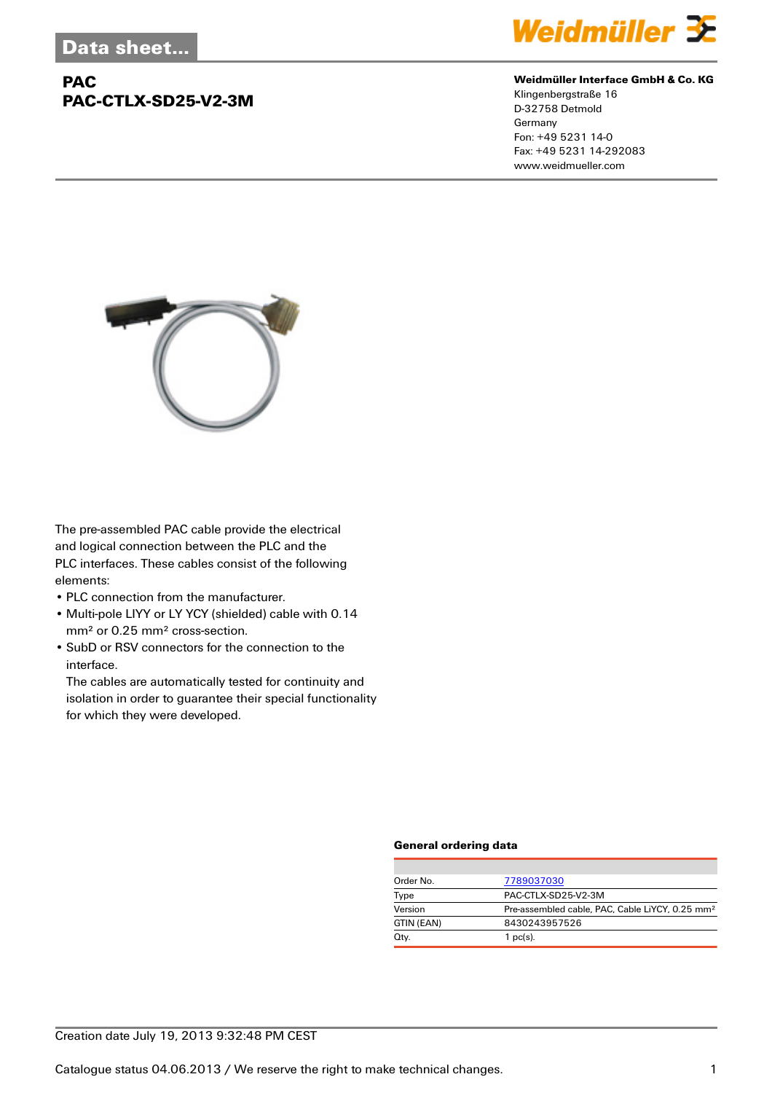## **PAC PAC-CTLX-SD25-V2-3M**



#### **Weidmüller Interface GmbH & Co. KG**

Klingenbergstraße 16 D-32758 Detmold Germany Fon: +49 5231 14-0 Fax: +49 5231 14-292083 www.weidmueller.com



The pre-assembled PAC cable provide the electrical and logical connection between the PLC and the PLC interfaces. These cables consist of the following elements:

- PLC connection from the manufacturer.
- Multi-pole LIYY or LY YCY (shielded) cable with 0.14 mm² or 0.25 mm² cross-section.
- SubD or RSV connectors for the connection to the interface.

The cables are automatically tested for continuity and isolation in order to guarantee their special functionality for which they were developed.

#### **General ordering data**

| Order No.  | 7789037030                                                  |  |  |
|------------|-------------------------------------------------------------|--|--|
| Type       | PAC-CTLX-SD25-V2-3M                                         |  |  |
| Version    | Pre-assembled cable, PAC, Cable LiYCY, 0.25 mm <sup>2</sup> |  |  |
| GTIN (EAN) | 8430243957526                                               |  |  |
| Qty.       | 1 $pc(s)$ .                                                 |  |  |